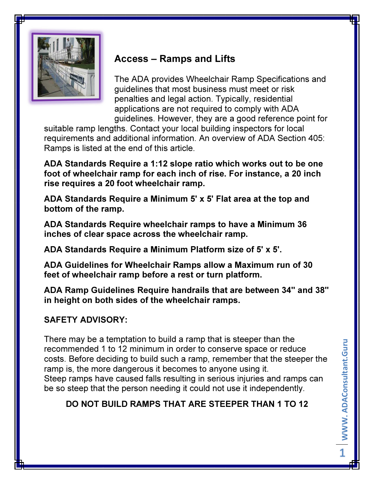

# Access – Ramps and Lifts

The ADA provides Wheelchair Ramp Specifications and guidelines that most business must meet or risk penalties and legal action. Typically, residential applications are not required to comply with ADA guidelines. However, they are a good reference point for

suitable ramp lengths. Contact your local building inspectors for local requirements and additional information. An overview of ADA Section 405: Ramps is listed at the end of this article.

ADA Standards Require a 1:12 slope ratio which works out to be one foot of wheelchair ramp for each inch of rise. For instance, a 20 inch rise requires a 20 foot wheelchair ramp.

ADA Standards Require a Minimum 5' x 5' Flat area at the top and bottom of the ramp.

ADA Standards Require wheelchair ramps to have a Minimum 36 inches of clear space across the wheelchair ramp.

ADA Standards Require a Minimum Platform size of 5' x 5'.

ADA Guidelines for Wheelchair Ramps allow a Maximum run of 30 feet of wheelchair ramp before a rest or turn platform.

ADA Ramp Guidelines Require handrails that are between 34" and 38" in height on both sides of the wheelchair ramps.

# SAFETY ADVISORY:

There may be a temptation to build a ramp that is steeper than the recommended 1 to 12 minimum in order to conserve space or reduce costs. Before deciding to build such a ramp, remember that the steeper the ramp is, the more dangerous it becomes to anyone using it. Steep ramps have caused falls resulting in serious injuries and ramps can be so steep that the person needing it could not use it independently.

# DO NOT BUILD RAMPS THAT ARE STEEPER THAN 1 TO 12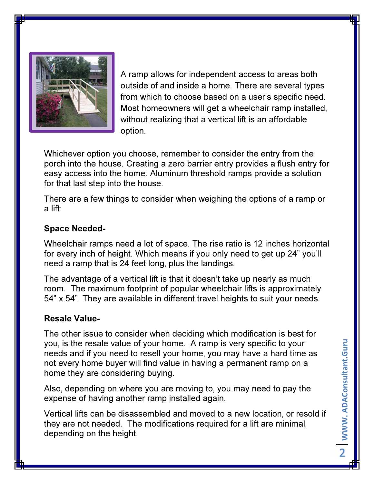

A ramp allows for independent access to areas both outside of and inside a home. There are several types from which to choose based on a user's specific need. Most homeowners will get a wheelchair ramp installed, without realizing that a vertical lift is an affordable option.

Whichever option you choose, remember to consider the entry from the porch into the house. Creating a zero barrier entry provides a flush entry for easy access into the home. Aluminum threshold ramps provide a solution for that last step into the house.

There are a few things to consider when weighing the options of a ramp or a lift:

### Space Needed-

Wheelchair ramps need a lot of space. The rise ratio is 12 inches horizontal for every inch of height. Which means if you only need to get up 24" you'll need a ramp that is 24 feet long, plus the landings.

The advantage of a vertical lift is that it doesn't take up nearly as much room. The maximum footprint of popular wheelchair lifts is approximately 54" x 54". They are available in different travel heights to suit your needs.

#### Resale Value-

The other issue to consider when deciding which modification is best for you, is the resale value of your home. A ramp is very specific to your needs and if you need to resell your home, you may have a hard time as not every home buyer will find value in having a permanent ramp on a home they are considering buying.

Also, depending on where you are moving to, you may need to pay the expense of having another ramp installed again.

Vertical lifts can be disassembled and moved to a new location, or resold if they are not needed. The modifications required for a lift are minimal, depending on the height.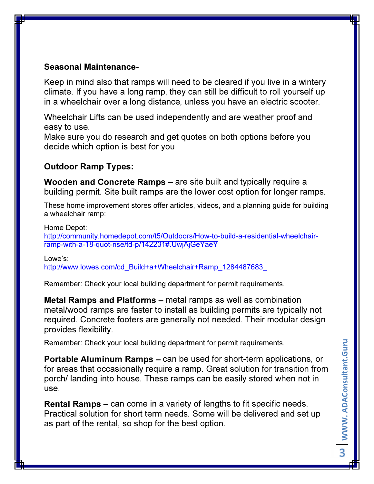## Seasonal Maintenance-

Keep in mind also that ramps will need to be cleared if you live in a wintery climate. If you have a long ramp, they can still be difficult to roll yourself up in a wheelchair over a long distance, unless you have an electric scooter.

Wheelchair Lifts can be used independently and are weather proof and easy to use.

Make sure you do research and get quotes on both options before you decide which option is best for you

## Outdoor Ramp Types:

Wooden and Concrete Ramps – are site built and typically require a building permit. Site built ramps are the lower cost option for longer ramps.

These home improvement stores offer articles, videos, and a planning guide for building a wheelchair ramp:

Home Depot:

http://community.homedepot.com/t5/Outdoors/How-to-build-a-residential-wheelchairramp-with-a-18-quot-rise/td-p/142231#.UwjAjGeYaeY

Lowe's:

http://www.lowes.com/cd\_Build+a+Wheelchair+Ramp\_1284487683\_

Remember: Check your local building department for permit requirements.

Metal Ramps and Platforms – metal ramps as well as combination metal/wood ramps are faster to install as building permits are typically not required. Concrete footers are generally not needed. Their modular design provides flexibility.

Remember: Check your local building department for permit requirements.

Portable Aluminum Ramps – can be used for short-term applications, or for areas that occasionally require a ramp. Great solution for transition from porch/ landing into house. These ramps can be easily stored when not in use.

Rental Ramps – can come in a variety of lengths to fit specific needs. Practical solution for short term needs. Some will be delivered and set up as part of the rental, so shop for the best option.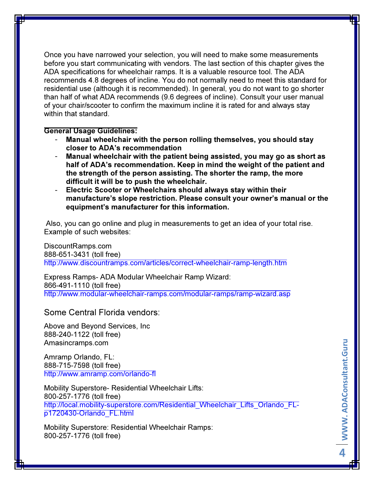Once you have narrowed your selection, you will need to make some measurements before you start communicating with vendors. The last section of this chapter gives the ADA specifications for wheelchair ramps. It is a valuable resource tool. The ADA recommends 4.8 degrees of incline. You do not normally need to meet this standard for residential use (although it is recommended). In general, you do not want to go shorter than half of what ADA recommends (9.6 degrees of incline). Consult your user manual of your chair/scooter to confirm the maximum incline it is rated for and always stay within that standard.

#### General Usage Guidelines:

- Manual wheelchair with the person rolling themselves, you should stay closer to ADA's recommendation
- Manual wheelchair with the patient being assisted, you may go as short as half of ADA's recommendation. Keep in mind the weight of the patient and the strength of the person assisting. The shorter the ramp, the more difficult it will be to push the wheelchair.
- Electric Scooter or Wheelchairs should always stay within their manufacture's slope restriction. Please consult your owner's manual or the equipment's manufacturer for this information.

 Also, you can go online and plug in measurements to get an idea of your total rise. Example of such websites:

DiscountRamps.com 888-651-3431 (toll free) http://www.discountramps.com/articles/correct-wheelchair-ramp-length.htm

Express Ramps- ADA Modular Wheelchair Ramp Wizard: 866-491-1110 (toll free) http://www.modular-wheelchair-ramps.com/modular-ramps/ramp-wizard.asp

Some Central Florida vendors:

Above and Beyond Services, Inc 888-240-1122 (toll free) Amasincramps.com

Amramp Orlando, FL: 888-715-7598 (toll free) http://www.amramp.com/orlando-fl

Mobility Superstore- Residential Wheelchair Lifts: 800-257-1776 (toll free) http://local.mobility-superstore.com/Residential\_Wheelchair\_Lifts\_Orlando\_FLp1720430-Orlando\_FL.html

Mobility Superstore: Residential Wheelchair Ramps: 800-257-1776 (toll free)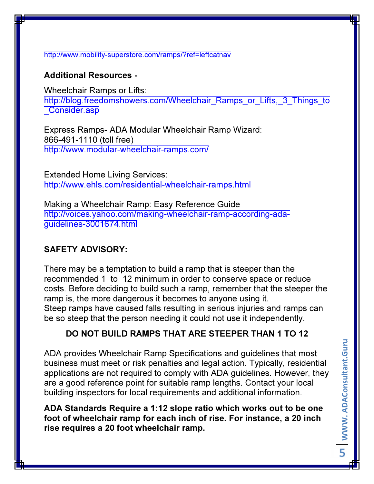#### http://www.mobility-superstore.com/ramps/?ref=leftcatnav

### Additional Resources -

Wheelchair Ramps or Lifts: http://blog.freedomshowers.com/Wheelchair\_Ramps\_or\_Lifts,\_3\_Things\_to Consider.asp

Express Ramps- ADA Modular Wheelchair Ramp Wizard: 866-491-1110 (toll free) http://www.modular-wheelchair-ramps.com/

Extended Home Living Services: http://www.ehls.com/residential-wheelchair-ramps.html

Making a Wheelchair Ramp: Easy Reference Guide http://voices.yahoo.com/making-wheelchair-ramp-according-adaguidelines-3001674.html

## SAFETY ADVISORY:

There may be a temptation to build a ramp that is steeper than the recommended 1 to 12 minimum in order to conserve space or reduce costs. Before deciding to build such a ramp, remember that the steeper the ramp is, the more dangerous it becomes to anyone using it. Steep ramps have caused falls resulting in serious injuries and ramps can be so steep that the person needing it could not use it independently.

## DO NOT BUILD RAMPS THAT ARE STEEPER THAN 1 TO 12

ADA provides Wheelchair Ramp Specifications and guidelines that most business must meet or risk penalties and legal action. Typically, residential applications are not required to comply with ADA guidelines. However, they are a good reference point for suitable ramp lengths. Contact your local building inspectors for local requirements and additional information.

ADA Standards Require a 1:12 slope ratio which works out to be one foot of wheelchair ramp for each inch of rise. For instance, a 20 inch rise requires a 20 foot wheelchair ramp.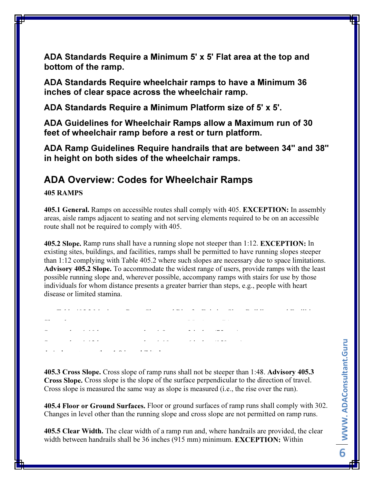ADA Standards Require a Minimum 5' x 5' Flat area at the top and bottom of the ramp.

ADA Standards Require wheelchair ramps to have a Minimum 36 inches of clear space across the wheelchair ramp.

ADA Standards Require a Minimum Platform size of 5' x 5'.

ADA Guidelines for Wheelchair Ramps allow a Maximum run of 30 feet of wheelchair ramp before a rest or turn platform.

ADA Ramp Guidelines Require handrails that are between 34" and 38" in height on both sides of the wheelchair ramps.

# ADA Overview: Codes for Wheelchair Ramps

405 RAMPS

405.1 General. Ramps on accessible routes shall comply with 405. EXCEPTION: In assembly areas, aisle ramps adjacent to seating and not serving elements required to be on an accessible route shall not be required to comply with 405.

405.2 Slope. Ramp runs shall have a running slope not steeper than 1:12. EXCEPTION: In existing sites, buildings, and facilities, ramps shall be permitted to have running slopes steeper than 1:12 complying with Table 405.2 where such slopes are necessary due to space limitations. Advisory 405.2 Slope. To accommodate the widest range of users, provide ramps with the least possible running slope and, wherever possible, accompany ramps with stairs for use by those individuals for whom distance presents a greater barrier than steps, e.g., people with heart disease or limited stamina.

Table 405.2 Maximum Ramp Slope and Rise for Existing Sites, Buildings, and Facilities Slope 1. Maximum Rise 1. Maximum Rise 1. Maximum Rise 1. Maximum Rise 1. Maximum Rise 1. Maximum Rise 1. Maximum Steeper than 1:10 but not steeper than 1:8 3 inches (75 mm) Steeper than 1:12 but not steeper than 1:12 but not steeper than 1:10 for steeper than 1:10 for steeper than 1<br>Steeper than 1:10 for steeper than 1:10 for steeper than 1:10 for steeper than 1:10 for steeper than 1:10 for 1. A slope steeper than 1:8 is prohibited.

405.3 Cross Slope. Cross slope of ramp runs shall not be steeper than 1:48. Advisory 405.3 Cross Slope. Cross slope is the slope of the surface perpendicular to the direction of travel. Cross slope is measured the same way as slope is measured (i.e., the rise over the run).

405.4 Floor or Ground Surfaces. Floor or ground surfaces of ramp runs shall comply with 302. Changes in level other than the running slope and cross slope are not permitted on ramp runs.

405.5 Clear Width. The clear width of a ramp run and, where handrails are provided, the clear width between handrails shall be 36 inches (915 mm) minimum. **EXCEPTION:** Within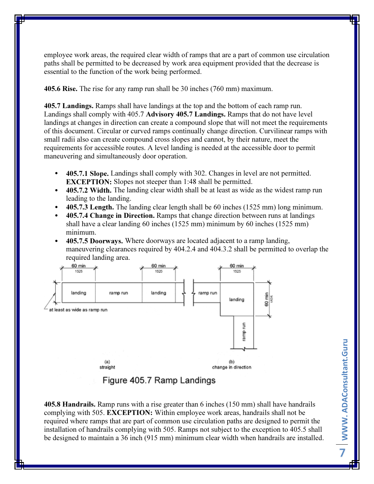employee work areas, the required clear width of ramps that are a part of common use circulation paths shall be permitted to be decreased by work area equipment provided that the decrease is essential to the function of the work being performed.

405.6 Rise. The rise for any ramp run shall be 30 inches (760 mm) maximum.

405.7 Landings. Ramps shall have landings at the top and the bottom of each ramp run. Landings shall comply with 405.7 Advisory 405.7 Landings. Ramps that do not have level landings at changes in direction can create a compound slope that will not meet the requirements of this document. Circular or curved ramps continually change direction. Curvilinear ramps with small radii also can create compound cross slopes and cannot, by their nature, meet the requirements for accessible routes. A level landing is needed at the accessible door to permit maneuvering and simultaneously door operation.

- 405.7.1 Slope. Landings shall comply with 302. Changes in level are not permitted. EXCEPTION: Slopes not steeper than 1:48 shall be permitted.
- 405.7.2 Width. The landing clear width shall be at least as wide as the widest ramp run leading to the landing.
- 405.7.3 Length. The landing clear length shall be 60 inches  $(1525 \text{ mm})$  long minimum.
- 405.7.4 Change in Direction. Ramps that change direction between runs at landings shall have a clear landing 60 inches (1525 mm) minimum by 60 inches (1525 mm) minimum.
- 405.7.5 Doorways. Where doorways are located adjacent to a ramp landing, maneuvering clearances required by 404.2.4 and 404.3.2 shall be permitted to overlap the required landing area.



## Figure 405.7 Ramp Landings

405.8 Handrails. Ramp runs with a rise greater than 6 inches (150 mm) shall have handrails complying with 505. EXCEPTION: Within employee work areas, handrails shall not be required where ramps that are part of common use circulation paths are designed to permit the installation of handrails complying with 505. Ramps not subject to the exception to 405.5 shall be designed to maintain a 36 inch (915 mm) minimum clear width when handrails are installed.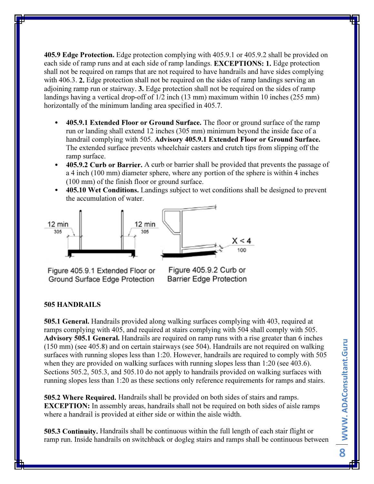405.9 Edge Protection. Edge protection complying with 405.9.1 or 405.9.2 shall be provided on each side of ramp runs and at each side of ramp landings. EXCEPTIONS: 1. Edge protection shall not be required on ramps that are not required to have handrails and have sides complying with 406.3. **2.** Edge protection shall not be required on the sides of ramp landings serving an adjoining ramp run or stairway. 3. Edge protection shall not be required on the sides of ramp landings having a vertical drop-off of 1/2 inch (13 mm) maximum within 10 inches (255 mm) horizontally of the minimum landing area specified in 405.7.

- 405.9.1 Extended Floor or Ground Surface. The floor or ground surface of the ramp run or landing shall extend 12 inches (305 mm) minimum beyond the inside face of a handrail complying with 505. Advisory 405.9.1 Extended Floor or Ground Surface. The extended surface prevents wheelchair casters and crutch tips from slipping off the ramp surface.
- 405.9.2 Curb or Barrier. A curb or barrier shall be provided that prevents the passage of a 4 inch (100 mm) diameter sphere, where any portion of the sphere is within 4 inches (100 mm) of the finish floor or ground surface.
- 405.10 Wet Conditions. Landings subject to wet conditions shall be designed to prevent the accumulation of water.





Figure 405.9.1 Extended Floor or Ground Surface Edge Protection

Figure 405.9.2 Curb or **Barrier Edge Protection** 

#### 505 HANDRAILS

505.1 General. Handrails provided along walking surfaces complying with 403, required at ramps complying with 405, and required at stairs complying with 504 shall comply with 505. Advisory 505.1 General. Handrails are required on ramp runs with a rise greater than 6 inches (150 mm) (see 405.8) and on certain stairways (see 504). Handrails are not required on walking surfaces with running slopes less than 1:20. However, handrails are required to comply with 505 when they are provided on walking surfaces with running slopes less than 1:20 (see 403.6). Sections 505.2, 505.3, and 505.10 do not apply to handrails provided on walking surfaces with running slopes less than 1:20 as these sections only reference requirements for ramps and stairs.

505.2 Where Required. Handrails shall be provided on both sides of stairs and ramps. EXCEPTION: In assembly areas, handrails shall not be required on both sides of aisle ramps where a handrail is provided at either side or within the aisle width.

505.3 Continuity. Handrails shall be continuous within the full length of each stair flight or ramp run. Inside handrails on switchback or dogleg stairs and ramps shall be continuous between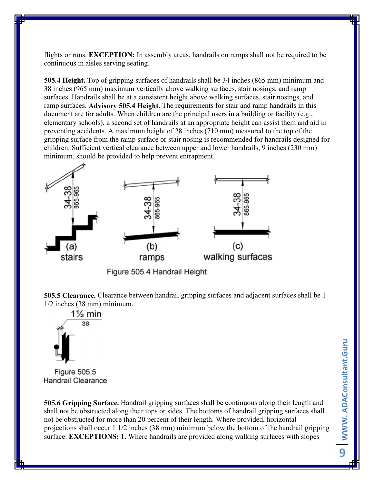flights or runs. EXCEPTION: In assembly areas, handrails on ramps shall not be required to be continuous in aisles serving seating.

505.4 Height. Top of gripping surfaces of handrails shall be 34 inches (865 mm) minimum and 38 inches (965 mm) maximum vertically above walking surfaces, stair nosings, and ramp surfaces. Handrails shall be at a consistent height above walking surfaces, stair nosings, and ramp surfaces. Advisory 505.4 Height. The requirements for stair and ramp handrails in this document are for adults. When children are the principal users in a building or facility (e.g., elementary schools), a second set of handrails at an appropriate height can assist them and aid in preventing accidents. A maximum height of 28 inches (710 mm) measured to the top of the gripping surface from the ramp surface or stair nosing is recommended for handrails designed for children. Sufficient vertical clearance between upper and lower handrails, 9 inches (230 mm) minimum, should be provided to help prevent entrapment.



Figure 505.4 Handrail Height

505.5 Clearance. Clearance between handrail gripping surfaces and adjacent surfaces shall be 1 1/2 inches (38 mm) minimum.



Figure 505.5 **Handrail Clearance** 

505.6 Gripping Surface. Handrail gripping surfaces shall be continuous along their length and shall not be obstructed along their tops or sides. The bottoms of handrail gripping surfaces shall not be obstructed for more than 20 percent of their length. Where provided, horizontal projections shall occur 1 1/2 inches (38 mm) minimum below the bottom of the handrail gripping surface. **EXCEPTIONS: 1.** Where handrails are provided along walking surfaces with slopes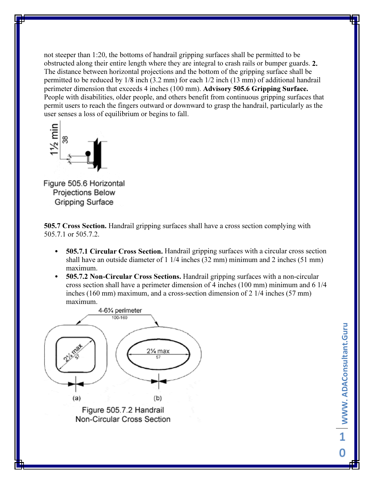not steeper than 1:20, the bottoms of handrail gripping surfaces shall be permitted to be obstructed along their entire length where they are integral to crash rails or bumper guards. 2. The distance between horizontal projections and the bottom of the gripping surface shall be permitted to be reduced by 1/8 inch (3.2 mm) for each 1/2 inch (13 mm) of additional handrail perimeter dimension that exceeds 4 inches (100 mm). Advisory 505.6 Gripping Surface. People with disabilities, older people, and others benefit from continuous gripping surfaces that permit users to reach the fingers outward or downward to grasp the handrail, particularly as the user senses a loss of equilibrium or begins to fall.



Figure 505.6 Horizontal Projections Below Gripping Surface

505.7 Cross Section. Handrail gripping surfaces shall have a cross section complying with 505.7.1 or 505.7.2.

- 505.7.1 Circular Cross Section. Handrail gripping surfaces with a circular cross section shall have an outside diameter of 1 1/4 inches (32 mm) minimum and 2 inches (51 mm) maximum.
- 505.7.2 Non-Circular Cross Sections. Handrail gripping surfaces with a non-circular cross section shall have a perimeter dimension of 4 inches (100 mm) minimum and 6 1/4 inches (160 mm) maximum, and a cross-section dimension of 2 1/4 inches (57 mm) maximum.

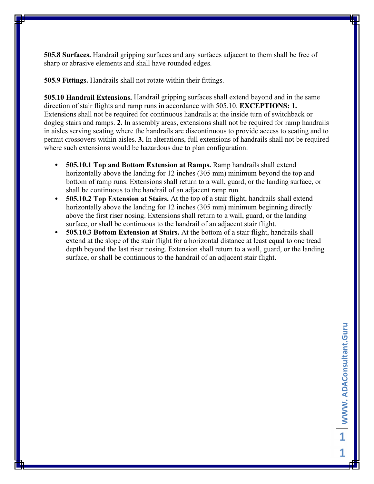505.8 Surfaces. Handrail gripping surfaces and any surfaces adjacent to them shall be free of sharp or abrasive elements and shall have rounded edges.

505.9 Fittings. Handrails shall not rotate within their fittings.

505.10 Handrail Extensions. Handrail gripping surfaces shall extend beyond and in the same direction of stair flights and ramp runs in accordance with 505.10. EXCEPTIONS: 1. Extensions shall not be required for continuous handrails at the inside turn of switchback or dogleg stairs and ramps. 2. In assembly areas, extensions shall not be required for ramp handrails in aisles serving seating where the handrails are discontinuous to provide access to seating and to permit crossovers within aisles. 3. In alterations, full extensions of handrails shall not be required where such extensions would be hazardous due to plan configuration.

- 505.10.1 Top and Bottom Extension at Ramps. Ramp handrails shall extend horizontally above the landing for 12 inches (305 mm) minimum beyond the top and bottom of ramp runs. Extensions shall return to a wall, guard, or the landing surface, or shall be continuous to the handrail of an adjacent ramp run.
- 505.10.2 Top Extension at Stairs. At the top of a stair flight, handrails shall extend horizontally above the landing for 12 inches (305 mm) minimum beginning directly above the first riser nosing. Extensions shall return to a wall, guard, or the landing surface, or shall be continuous to the handrail of an adjacent stair flight.
- 505.10.3 Bottom Extension at Stairs. At the bottom of a stair flight, handrails shall extend at the slope of the stair flight for a horizontal distance at least equal to one tread depth beyond the last riser nosing. Extension shall return to a wall, guard, or the landing surface, or shall be continuous to the handrail of an adjacent stair flight.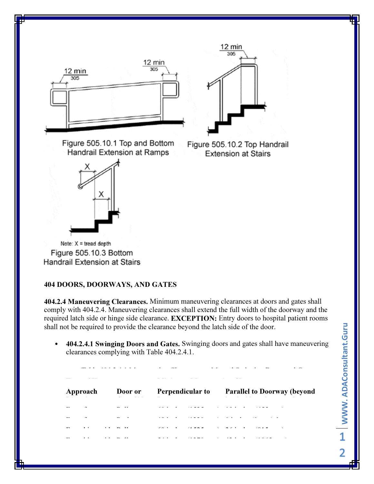



Figure 505.10.1 Top and Bottom Handrail Extension at Ramps

Figure 505.10.2 Top Handrail **Extension at Stairs** 

Note:  $X =$  tread depth Figure 505.10.3 Bottom. Handrail Extension at Stairs

#### 404 DOORS, DOORWAYS, AND GATES

404.2.4 Maneuvering Clearances. Minimum maneuvering clearances at doors and gates shall comply with 404.2.4. Maneuvering clearances shall extend the full width of the doorway and the required latch side or hinge side clearance. EXCEPTION: Entry doors to hospital patient rooms shall not be required to provide the clearance beyond the latch side of the door.

• 404.2.4.1 Swinging Doors and Gates. Swinging doors and gates shall have maneuvering clearances complying with Table 404.2.4.1.

Table 404.2.4.1 Maneuvering Clearances at Manual Swinging Doors and Gates

| Approach                 | Door or | <b>Perpendicular to</b> Parallel to Doorway (beyond |
|--------------------------|---------|-----------------------------------------------------|
| $\sim$                   |         |                                                     |
| $\overline{\phantom{a}}$ |         |                                                     |
|                          |         | ×                                                   |
|                          |         |                                                     |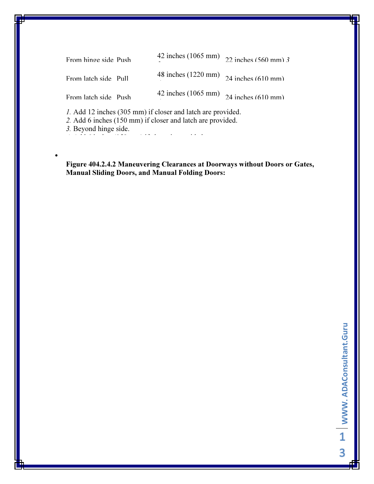| From hinge side Push                                                                                                             | 42 inches (1065 mm) $22$ inches (560 mm) 3 |  |  |  |  |  |  |
|----------------------------------------------------------------------------------------------------------------------------------|--------------------------------------------|--|--|--|--|--|--|
| From latch side Pull                                                                                                             | 48 inches (1220 mm) $24$ inches (610 mm)   |  |  |  |  |  |  |
| From latch side Push                                                                                                             | 42 inches (1065 mm) $24$ inches (610 mm)   |  |  |  |  |  |  |
| <i>l.</i> Add 12 inches (305 mm) if closer and latch are provided.<br>2. Add 6 inches (150 mm) if closer and latch are provided. |                                            |  |  |  |  |  |  |

3. Beyond hinge side.

•

4. Add 6 inches (150 mm) if closer is provided.

Figure 404.2.4.2 Maneuvering Clearances at Doorways without Doors or Gates, Manual Sliding Doors, and Manual Folding Doors: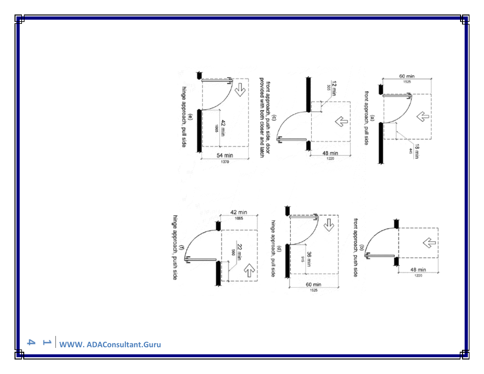

1525



4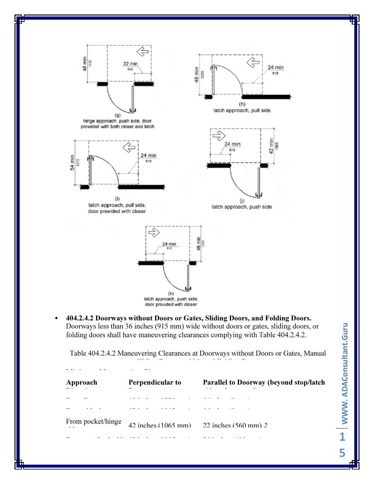

• 404.2.4.2 Doorways without Doors or Gates, Sliding Doors, and Folding Doors. Doorways less than 36 inches (915 mm) wide without doors or gates, sliding doors, or folding doors shall have maneuvering clearances complying with Table 404.2.4.2.

Table 404.2.4.2 Maneuvering Clearances at Doorways without Doors or Gates, Manual Sliding Doors, and Manual Folding Doors

| Approach          | Perpendicular to                                             | <b>Parallel to Doorway (beyond stop/latch)</b> |
|-------------------|--------------------------------------------------------------|------------------------------------------------|
|                   |                                                              |                                                |
|                   |                                                              |                                                |
| From pocket/hinge | 42 inches $(1065 \text{ mm})$ 22 inches $(560 \text{ mm})$ 2 |                                                |
|                   |                                                              |                                                |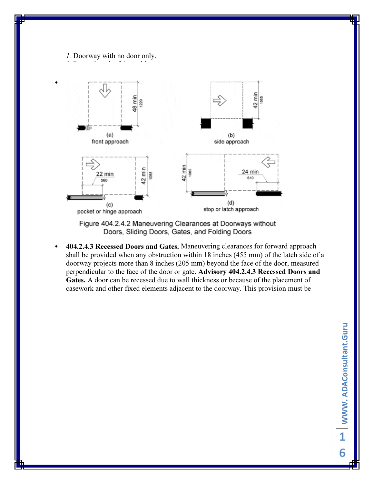1. Doorway with no door only. 2. Beyond pocket/hinge side.

•



Figure 404.2.4.2 Maneuvering Clearances at Doorways without Doors, Sliding Doors, Gates, and Folding Doors

• 404.2.4.3 Recessed Doors and Gates. Maneuvering clearances for forward approach shall be provided when any obstruction within 18 inches (455 mm) of the latch side of a doorway projects more than 8 inches (205 mm) beyond the face of the door, measured perpendicular to the face of the door or gate. Advisory 404.2.4.3 Recessed Doors and Gates. A door can be recessed due to wall thickness or because of the placement of casework and other fixed elements adjacent to the doorway. This provision must be